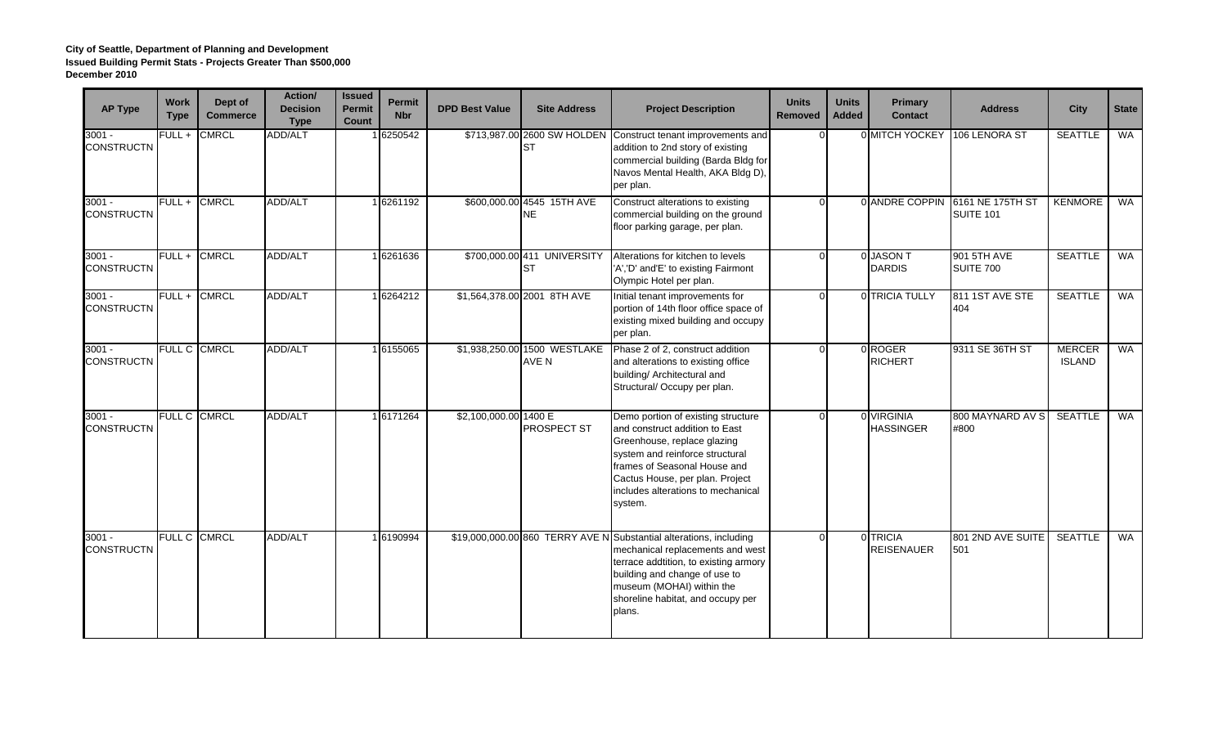| <b>AP Type</b>                | <b>Work</b><br><b>Type</b> | Dept of<br><b>Commerce</b> | Action/<br><b>Decision</b><br><b>Type</b> | Issued<br><b>Permit</b><br><b>Count</b> | <b>Permit</b><br><b>Nbr</b> | <b>DPD Best Value</b> | <b>Site Address</b>                      | <b>Project Description</b>                                                                                                                                                                                                                                   | <b>Units</b><br>Removed | <b>Units</b><br><b>Added</b> | Primary<br><b>Contact</b>            | <b>Address</b>                  | <b>City</b>                    | <b>State</b> |
|-------------------------------|----------------------------|----------------------------|-------------------------------------------|-----------------------------------------|-----------------------------|-----------------------|------------------------------------------|--------------------------------------------------------------------------------------------------------------------------------------------------------------------------------------------------------------------------------------------------------------|-------------------------|------------------------------|--------------------------------------|---------------------------------|--------------------------------|--------------|
| $3001 -$<br><b>CONSTRUCTN</b> | $FULL +$                   | <b>CMRCL</b>               | <b>ADD/ALT</b>                            |                                         | 1 6250542                   |                       | <b>ST</b>                                | \$713,987.00 2600 SW HOLDEN Construct tenant improvements and<br>addition to 2nd story of existing<br>commercial building (Barda Bldg for<br>Navos Mental Health, AKA Bldg D),<br>per plan.                                                                  |                         |                              | 0 MITCH YOCKEY                       | 106 LENORA ST                   | <b>SEATTLE</b>                 | WA           |
| $3001 -$<br><b>CONSTRUCTN</b> | $FULL +$                   | <b>CMRCL</b>               | <b>ADD/ALT</b>                            |                                         | 1 6261192                   |                       | \$600,000.00 4545 15TH AVE<br><b>NE</b>  | Construct alterations to existing<br>commercial building on the ground<br>floor parking garage, per plan.                                                                                                                                                    | $\Omega$                |                              | 0 ANDRE COPPIN                       | 6161 NE 175TH ST<br>SUITE 101   | <b>KENMORE</b>                 | WA           |
| $3001 -$<br><b>CONSTRUCTN</b> |                            | FULL + CMRCL               | <b>ADD/ALT</b>                            |                                         | 16261636                    |                       | \$700,000.00 411 UNIVERSITY<br><b>ST</b> | Alterations for kitchen to levels<br>'A','D' and'E' to existing Fairmont<br>Olympic Hotel per plan.                                                                                                                                                          | $\Omega$                |                              | 0 JASON T<br><b>DARDIS</b>           | 901 5TH AVE<br><b>SUITE 700</b> | <b>SEATTLE</b>                 | <b>WA</b>    |
| $3001 -$<br><b>CONSTRUCTN</b> |                            | FULL + CMRCL               | <b>ADD/ALT</b>                            |                                         | 16264212                    |                       | \$1,564,378.00 2001 8TH AVE              | Initial tenant improvements for<br>portion of 14th floor office space of<br>existing mixed building and occupy<br>per plan.                                                                                                                                  | $\Omega$                |                              | 0 TRICIA TULLY                       | 811 1ST AVE STE<br>404          | <b>SEATTLE</b>                 | WA           |
| $3001 -$<br><b>CONSTRUCTN</b> | FULL C CMRCL               |                            | <b>ADD/ALT</b>                            |                                         | 16155065                    |                       | \$1,938,250.00 1500 WESTLAKE<br>AVE N    | Phase 2 of 2, construct addition<br>and alterations to existing office<br>building/ Architectural and<br>Structural/ Occupy per plan.                                                                                                                        | $\Omega$                |                              | 0 ROGER<br><b>RICHERT</b>            | 9311 SE 36TH ST                 | <b>MERCER</b><br><b>ISLAND</b> | WA           |
| $3001 -$<br><b>CONSTRUCTN</b> | FULL C CMRCL               |                            | ADD/ALT                                   |                                         | 16171264                    | \$2,100,000.00 1400 E | <b>PROSPECT ST</b>                       | Demo portion of existing structure<br>and construct addition to East<br>Greenhouse, replace glazing<br>system and reinforce structural<br>frames of Seasonal House and<br>Cactus House, per plan. Project<br>includes alterations to mechanical<br>system.   | $\Omega$                |                              | 0 VIRGINIA<br><b>HASSINGER</b>       | 800 MAYNARD AV S<br>#800        | <b>SEATTLE</b>                 | WA           |
| $3001 -$<br><b>CONSTRUCTN</b> | FULL C CMRCL               |                            | ADD/ALT                                   |                                         | 16190994                    |                       |                                          | \$19,000,000.00 860 TERRY AVE N Substantial alterations, including<br>mechanical replacements and west<br>terrace addtition, to existing armory<br>building and change of use to<br>museum (MOHAI) within the<br>shoreline habitat, and occupy per<br>plans. | U                       |                              | <b>O</b> TRICIA<br><b>REISENAUER</b> | 801 2ND AVE SUITE<br>501        | <b>SEATTLE</b>                 | WA           |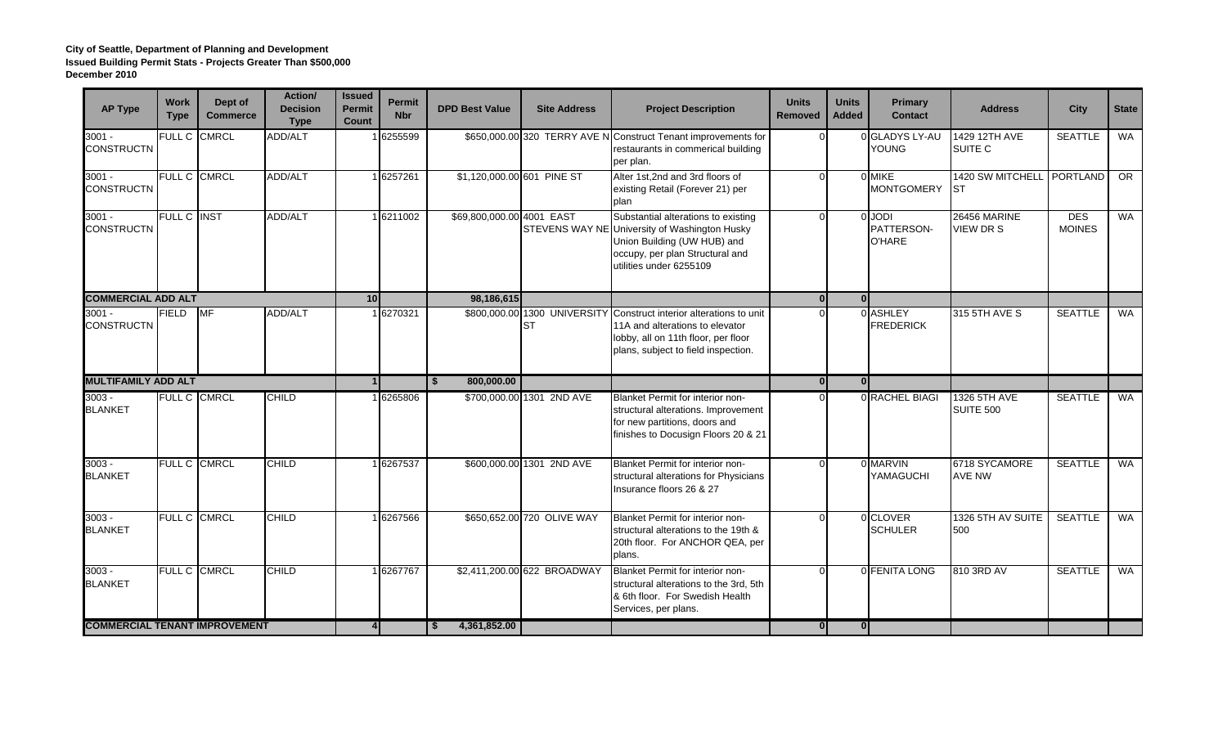| <b>AP Type</b>                       | <b>Work</b><br><b>Type</b> | Dept of<br><b>Commerce</b> | Action/<br><b>Decision</b><br><b>Type</b> | <b>Issued</b><br><b>Permit</b><br>Count | Permit<br><b>Nbr</b> | <b>DPD Best Value</b>      | <b>Site Address</b>                 | <b>Project Description</b>                                                                                                                                                        | <b>Units</b><br>Removed | <b>Units</b><br><b>Added</b> | Primary<br><b>Contact</b>             | <b>Address</b>                   | <b>City</b>          | <b>State</b>    |
|--------------------------------------|----------------------------|----------------------------|-------------------------------------------|-----------------------------------------|----------------------|----------------------------|-------------------------------------|-----------------------------------------------------------------------------------------------------------------------------------------------------------------------------------|-------------------------|------------------------------|---------------------------------------|----------------------------------|----------------------|-----------------|
| $3001 -$<br><b>CONSTRUCTN</b>        | FULL C                     | <b>CMRCL</b>               | ADD/ALT                                   |                                         | 1 6255599            |                            |                                     | \$650,000.00 320 TERRY AVE N Construct Tenant improvements for<br>restaurants in commerical building<br>per plan.                                                                 | $\Omega$                |                              | 0 GLADYS LY-AU<br><b>YOUNG</b>        | 1429 12TH AVE<br>SUITE C         | <b>SEATTLE</b>       | WA              |
| $3001 -$<br><b>CONSTRUCTN</b>        | FULL C CMRCL               |                            | ADD/ALT                                   |                                         | 1 6257261            | \$1,120,000.00 601 PINE ST |                                     | Alter 1st, 2nd and 3rd floors of<br>existing Retail (Forever 21) per<br>plan                                                                                                      |                         |                              | 0 MIKE<br><b>MONTGOMERY</b>           | 1420 SW MITCHELL PORTLAND<br>ST  |                      | $\overline{OR}$ |
| $3001 -$<br><b>CONSTRUCTN</b>        | FULL C INST                |                            | <b>ADD/ALT</b>                            |                                         | 16211002             | \$69,800,000.00 4001 EAST  |                                     | Substantial alterations to existing<br>STEVENS WAY NE University of Washington Husky<br>Union Building (UW HUB) and<br>occupy, per plan Structural and<br>utilities under 6255109 |                         |                              | 0 JODI<br>PATTERSON-<br><b>O'HARE</b> | 26456 MARINE<br><b>VIEW DR S</b> | DES<br><b>MOINES</b> | WA              |
| <b>COMMERCIAL ADD ALT</b>            |                            |                            |                                           | 10                                      |                      | 98,186,615                 |                                     |                                                                                                                                                                                   | $\overline{0}$          | $\overline{0}$               |                                       |                                  |                      |                 |
| $3001 -$<br><b>CONSTRUCTN</b>        | <b>FIELD</b>               | <b>MF</b>                  | ADD/ALT                                   |                                         | 1 6270321            |                            | \$800,000.00 1300 UNIVERSITY<br>Ist | Construct interior alterations to unit<br>11A and alterations to elevator<br>lobby, all on 11th floor, per floor<br>plans, subject to field inspection.                           | $\Omega$                |                              | 0 ASHLEY<br><b>FREDERICK</b>          | 315 5TH AVE S                    | <b>SEATTLE</b>       | WA              |
| <b>MULTIFAMILY ADD ALT</b>           |                            |                            |                                           |                                         |                      | 800.000.00<br>S.           |                                     |                                                                                                                                                                                   | 0l                      | 0                            |                                       |                                  |                      |                 |
| $3003 -$<br><b>BLANKET</b>           | <b>FULL C CMRCL</b>        |                            | <b>CHILD</b>                              |                                         | 1 6265806            |                            | \$700,000.00 1301 2ND AVE           | <b>Blanket Permit for interior non-</b><br>structural alterations. Improvement<br>for new partitions, doors and<br>finishes to Docusign Floors 20 & 21                            | $\Omega$                |                              | <b>ORACHEL BIAGI</b>                  | 1326 5TH AVE<br>SUITE 500        | <b>SEATTLE</b>       | WA              |
| $3003 -$<br><b>BLANKET</b>           | FULL C CMRCL               |                            | <b>CHILD</b>                              |                                         | 1 6267537            |                            | \$600,000.00 1301 2ND AVE           | Blanket Permit for interior non-<br>structural alterations for Physicians<br>Insurance floors 26 & 27                                                                             | $\Omega$                |                              | 0 MARVIN<br>YAMAGUCHI                 | 6718 SYCAMORE<br><b>AVE NW</b>   | <b>SEATTLE</b>       | <b>WA</b>       |
| $3003 -$<br><b>BLANKET</b>           | FULL C CMRCL               |                            | <b>CHILD</b>                              |                                         | 1 6267566            |                            | \$650,652.00 720 OLIVE WAY          | Blanket Permit for interior non-<br>structural alterations to the 19th &<br>20th floor. For ANCHOR QEA, per<br>plans.                                                             | $\Omega$                |                              | 0 CLOVER<br><b>SCHULER</b>            | 1326 5TH AV SUITE<br>500         | <b>SEATTLE</b>       | WA              |
| $3003 -$<br><b>BLANKET</b>           | FULL C CMRCL               |                            | <b>CHILD</b>                              |                                         | 1 6267767            |                            | \$2,411,200.00 622 BROADWAY         | Blanket Permit for interior non-<br>structural alterations to the 3rd, 5th<br>& 6th floor. For Swedish Health<br>Services, per plans.                                             | $\Omega$                |                              | 0 FENITA LONG                         | 810 3RD AV                       | <b>SEATTLE</b>       | WA              |
| <b>COMMERCIAL TENANT IMPROVEMENT</b> |                            |                            |                                           |                                         |                      | 4,361,852.00               |                                     |                                                                                                                                                                                   | $\Omega$                | $\Omega$                     |                                       |                                  |                      |                 |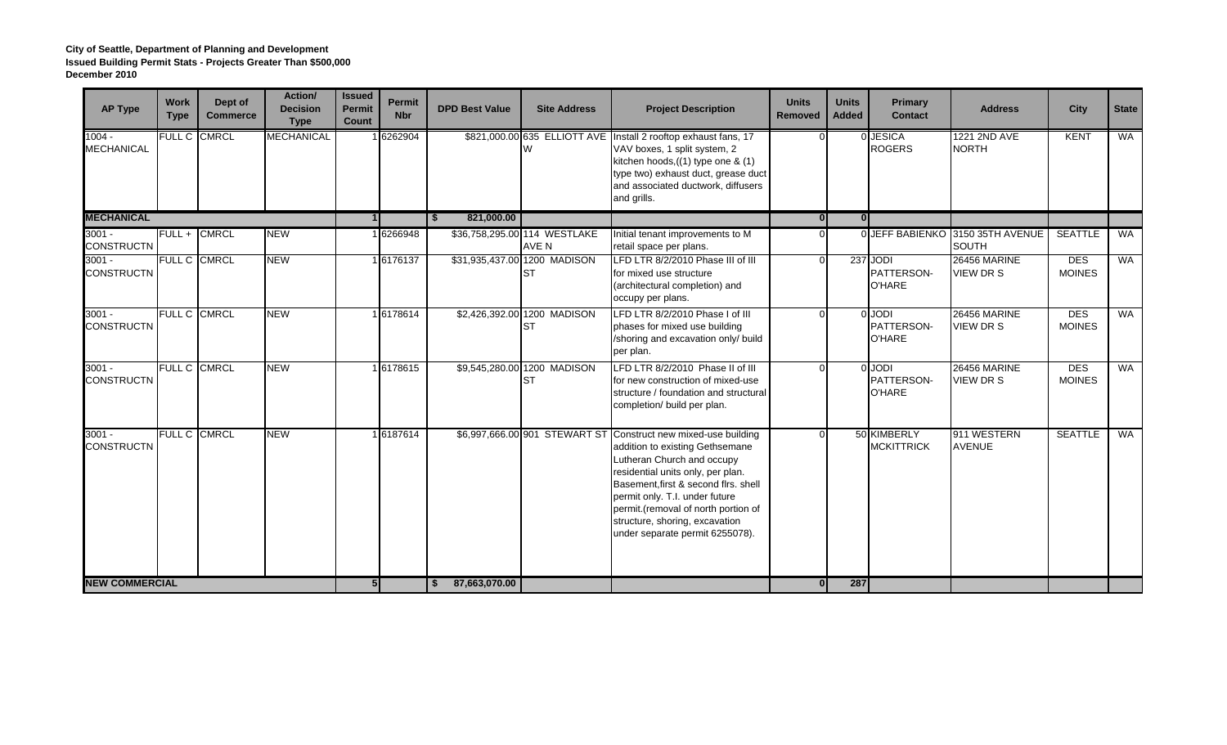| <b>AP Type</b>                | <b>Work</b><br><b>Type</b> | Dept of<br><b>Commerce</b> | Action/<br><b>Decision</b><br><b>Type</b> | <b>Issued</b><br><b>Permit</b><br><b>Count</b> | <b>Permit</b><br><b>Nbr</b> | <b>DPD Best Value</b> | <b>Site Address</b>                        | <b>Project Description</b>                                                                                                                                                                                                                                                                                                                                 | <b>Units</b><br><b>Removed</b> | <b>Units</b><br><b>Added</b> | Primary<br><b>Contact</b>               | <b>Address</b>                                          | <b>City</b>                 | <b>State</b> |
|-------------------------------|----------------------------|----------------------------|-------------------------------------------|------------------------------------------------|-----------------------------|-----------------------|--------------------------------------------|------------------------------------------------------------------------------------------------------------------------------------------------------------------------------------------------------------------------------------------------------------------------------------------------------------------------------------------------------------|--------------------------------|------------------------------|-----------------------------------------|---------------------------------------------------------|-----------------------------|--------------|
| $1004 -$<br><b>MECHANICAL</b> | <b>FULL C CMRCL</b>        |                            | <b>MECHANICAL</b>                         |                                                | 1 6262904                   |                       | W                                          | \$821,000.00 635 ELLIOTT AVE Install 2 rooftop exhaust fans, 17<br>VAV boxes, 1 split system, 2<br>kitchen hoods, ((1) type one & (1)<br>type two) exhaust duct, grease duct<br>and associated ductwork, diffusers<br>and grills.                                                                                                                          |                                |                              | 0 JESICA<br><b>ROGERS</b>               | 1221 2ND AVE<br><b>NORTH</b>                            | <b>KENT</b>                 | WA           |
| <b>MECHANICAL</b>             |                            |                            |                                           |                                                |                             | 821,000.00<br>- SS    |                                            |                                                                                                                                                                                                                                                                                                                                                            | 0l                             | 0 <sup>1</sup>               |                                         |                                                         |                             |              |
| $3001 -$<br><b>CONSTRUCTN</b> | $FULL +$                   | <b>CMRCL</b>               | <b>NEW</b>                                |                                                | 1 6266948                   |                       | \$36,758,295.00 114 WESTLAKE<br>AVE N      | Initial tenant improvements to M<br>retail space per plans.                                                                                                                                                                                                                                                                                                | $\Omega$                       |                              |                                         | <b>OLJEFF BABIENKO 3150 35TH AVENUE</b><br><b>SOUTH</b> | <b>SEATTLE</b>              | WA           |
| $3001 -$<br><b>CONSTRUCTN</b> | FULL C CMRCL               |                            | <b>NEW</b>                                |                                                | 1 6176137                   |                       | \$31,935,437.00 1200 MADISON<br><b>IST</b> | LFD LTR 8/2/2010 Phase III of III<br>for mixed use structure<br>(architectural completion) and<br>occupy per plans.                                                                                                                                                                                                                                        | $\Omega$                       |                              | 237 JODI<br>PATTERSON-<br><b>O'HARE</b> | <b>26456 MARINE</b><br><b>VIEW DR S</b>                 | <b>DES</b><br><b>MOINES</b> | WA           |
| $3001 -$<br><b>CONSTRUCTN</b> | FULL C CMRCL               |                            | <b>NEW</b>                                |                                                | 16178614                    |                       | \$2,426,392.00 1200 MADISON<br><b>IST</b>  | LFD LTR 8/2/2010 Phase I of III<br>phases for mixed use building<br>/shoring and excavation only/ build<br>per plan.                                                                                                                                                                                                                                       |                                |                              | 0 JODI<br>PATTERSON-<br><b>O'HARE</b>   | 26456 MARINE<br><b>VIEW DR S</b>                        | <b>DES</b><br><b>MOINES</b> | <b>WA</b>    |
| $3001 -$<br><b>CONSTRUCTN</b> | FULL C CMRCL               |                            | <b>NEW</b>                                |                                                | 16178615                    |                       | \$9,545,280.00 1200 MADISON<br><b>ST</b>   | LFD LTR 8/2/2010 Phase II of III<br>for new construction of mixed-use<br>structure / foundation and structural<br>completion/ build per plan.                                                                                                                                                                                                              | $\Omega$                       |                              | 0 JODI<br>PATTERSON-<br><b>O'HARE</b>   | 26456 MARINE<br>VIEW DR S                               | <b>DES</b><br><b>MOINES</b> | WA           |
| $3001 -$<br><b>CONSTRUCTN</b> | FULL C CMRCL               |                            | <b>NEW</b>                                |                                                | 16187614                    |                       |                                            | \$6,997,666.00 901 STEWART ST Construct new mixed-use building<br>addition to existing Gethsemane<br>Lutheran Church and occupy<br>residential units only, per plan.<br>Basement, first & second flrs. shell<br>permit only. T.I. under future<br>permit.(removal of north portion of<br>structure, shoring, excavation<br>under separate permit 6255078). | $\Omega$                       |                              | 50 KIMBERLY<br><b>MCKITTRICK</b>        | 911 WESTERN<br><b>AVENUE</b>                            | <b>SEATTLE</b>              | WA           |
| <b>NEW COMMERCIAL</b>         |                            |                            | 5                                         |                                                | 87,663,070.00               |                       |                                            | 0                                                                                                                                                                                                                                                                                                                                                          | 287                            |                              |                                         |                                                         |                             |              |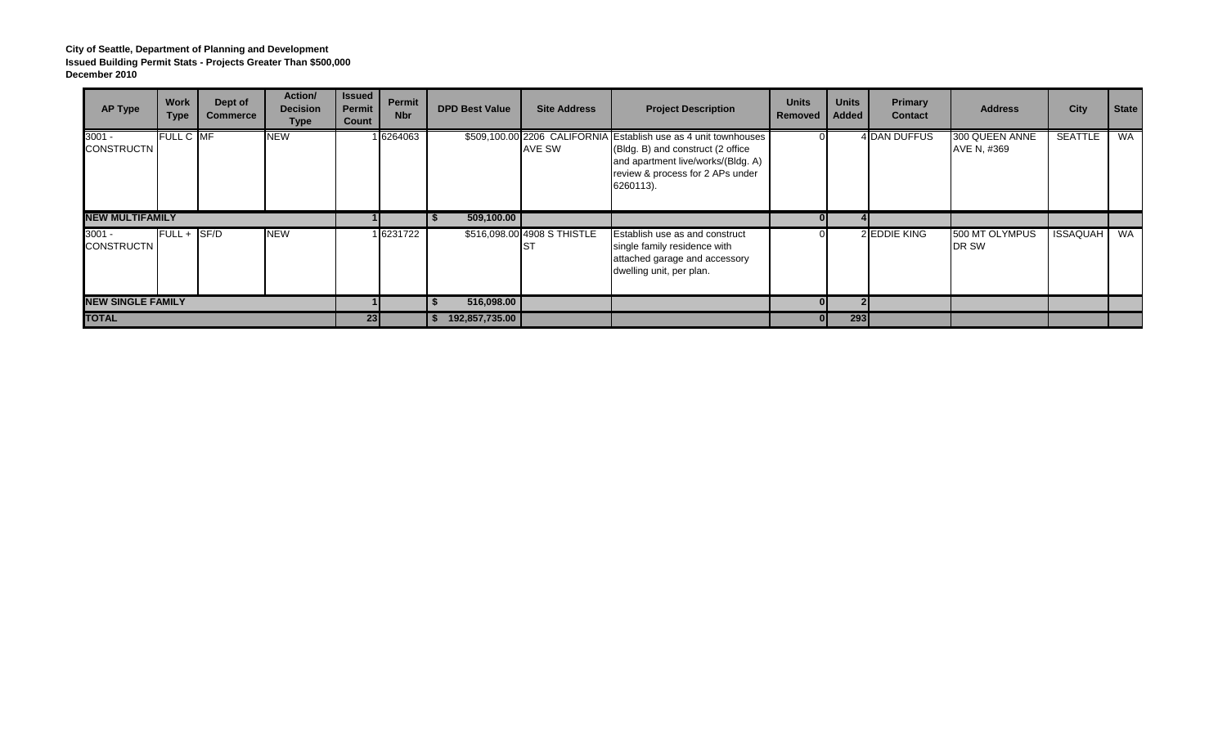| <b>AP Type</b>                | <b>Work</b><br><b>Type</b> | Dept of<br><b>Commerce</b> | Action/<br><b>Decision</b><br><b>Type</b> | <b>Issued</b><br>Permit<br>Count | Permit<br><b>Nbr</b> | <b>DPD Best Value</b> | <b>Site Address</b>                | <b>Project Description</b>                                                                                                                                                                  | <b>Units</b><br>Removed | <b>Units</b><br><b>Added</b> | Primary<br><b>Contact</b> | <b>Address</b>                | <b>City</b>     | <b>State</b> |
|-------------------------------|----------------------------|----------------------------|-------------------------------------------|----------------------------------|----------------------|-----------------------|------------------------------------|---------------------------------------------------------------------------------------------------------------------------------------------------------------------------------------------|-------------------------|------------------------------|---------------------------|-------------------------------|-----------------|--------------|
| $3001 -$<br><b>CONSTRUCTN</b> | <b>FULL C MF</b>           |                            | <b>NEW</b>                                |                                  | 1 6264063            |                       | AVE SW                             | \$509,100.00 2206 CALIFORNIA Establish use as 4 unit townhouses<br>(Bldg. B) and construct (2 office<br>and apartment live/works/(Bldg. A)<br>review & process for 2 APs under<br>6260113). |                         |                              | <b>4 DAN DUFFUS</b>       | 300 QUEEN ANNE<br>AVE N, #369 | <b>SEATTLE</b>  | WA           |
| <b>NEW MULTIFAMILY</b>        |                            |                            |                                           |                                  |                      | 509,100.00            |                                    |                                                                                                                                                                                             | 01                      |                              |                           |                               |                 |              |
| $3001 -$<br><b>CONSTRUCTN</b> | $FULL + SFD$               |                            | <b>NEW</b>                                |                                  | 16231722             |                       | \$516,098.00 4908 S THISTLE<br>IS1 | Establish use as and construct<br>single family residence with<br>attached garage and accessory<br>dwelling unit, per plan.                                                                 |                         |                              | 2 EDDIE KING              | 500 MT OLYMPUS<br>DR SW       | <b>ISSAQUAH</b> | <b>WA</b>    |
| <b>NEW SINGLE FAMILY</b>      |                            |                            |                                           |                                  |                      | 516,098.00            |                                    |                                                                                                                                                                                             | 0 <sup>1</sup>          |                              |                           |                               |                 |              |
| <b>TOTAL</b>                  |                            |                            |                                           |                                  | 23                   | 192,857,735.00        |                                    |                                                                                                                                                                                             | <b>OI</b>               | 293                          |                           |                               |                 |              |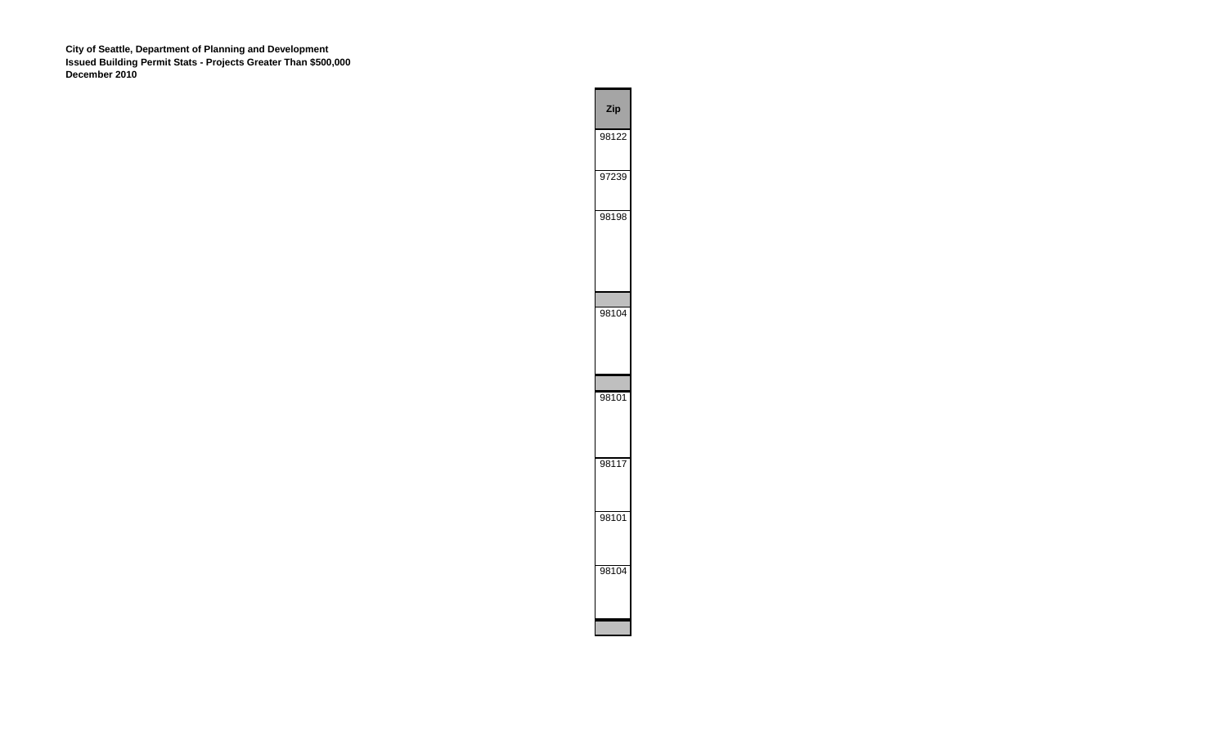